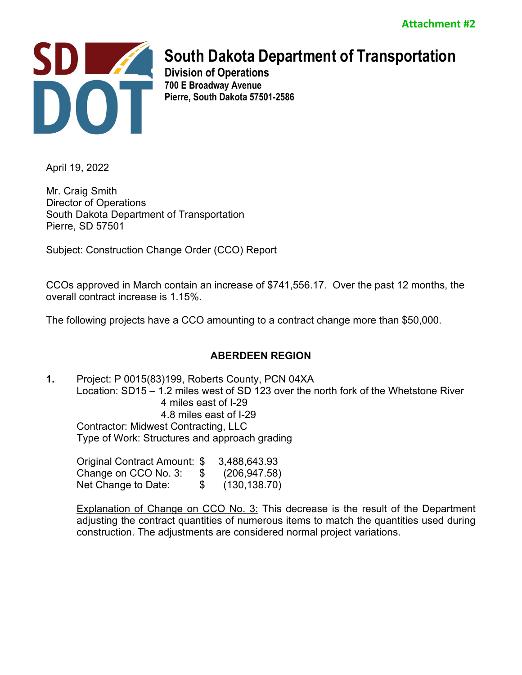

**Division of Operations 700 E Broadway Avenue Pierre, South Dakota 57501-2586** 

April 19, 2022

Mr. Craig Smith Director of Operations South Dakota Department of Transportation Pierre, SD 57501

Subject: Construction Change Order (CCO) Report

CCOs approved in March contain an increase of \$741,556.17. Over the past 12 months, the overall contract increase is 1.15%.

The following projects have a CCO amounting to a contract change more than \$50,000.

# **ABERDEEN REGION**

**1.** Project: P 0015(83)199, Roberts County, PCN 04XA Location: SD15 – 1.2 miles west of SD 123 over the north fork of the Whetstone River 4 miles east of I-29 4.8 miles east of I-29 Contractor: Midwest Contracting, LLC Type of Work: Structures and approach grading

| Original Contract Amount: \$ |    | 3,488,643.93  |
|------------------------------|----|---------------|
| Change on CCO No. 3:         | æ. | (206, 947.58) |
| Net Change to Date:          | \$ | (130, 138.70) |

**Explanation of Change on CCO No. 3:** This decrease is the result of the Department adjusting the contract quantities of numerous items to match the quantities used during construction. The adjustments are considered normal project variations.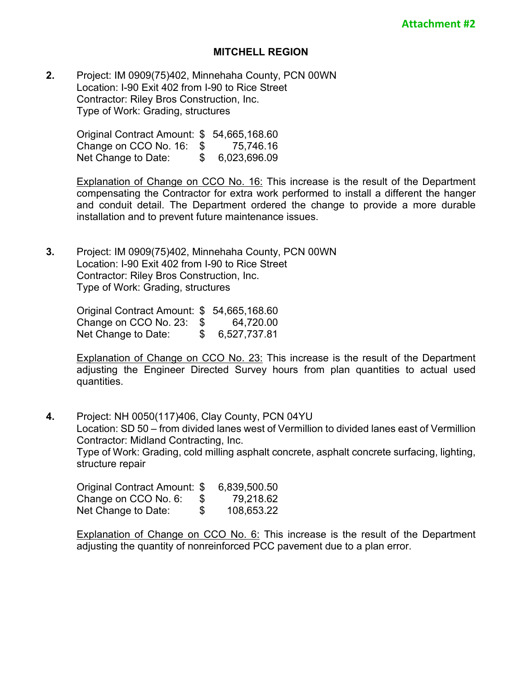### **MITCHELL REGION**

**2.** Project: IM 0909(75)402, Minnehaha County, PCN 00WN Location: I-90 Exit 402 from I-90 to Rice Street Contractor: Riley Bros Construction, Inc. Type of Work: Grading, structures

> Original Contract Amount: \$ 54,665,168.60 Change on CCO No. 16: \$ 75,746.16 Net Change to Date: \$ 6,023,696.09

Explanation of Change on CCO No. 16: This increase is the result of the Department compensating the Contractor for extra work performed to install a different the hanger and conduit detail. The Department ordered the change to provide a more durable installation and to prevent future maintenance issues.

**3.** Project: IM 0909(75)402, Minnehaha County, PCN 00WN Location: I-90 Exit 402 from I-90 to Rice Street Contractor: Riley Bros Construction, Inc. Type of Work: Grading, structures

> Original Contract Amount: \$ 54,665,168.60 Change on CCO No. 23: \$ 64,720.00<br>Net Change to Date: \$ 6,527,737.81 Net Change to Date:

Explanation of Change on CCO No. 23: This increase is the result of the Department adjusting the Engineer Directed Survey hours from plan quantities to actual used quantities.

**4.** Project: NH 0050(117)406, Clay County, PCN 04YU Location: SD 50 – from divided lanes west of Vermillion to divided lanes east of Vermillion Contractor: Midland Contracting, Inc. Type of Work: Grading, cold milling asphalt concrete, asphalt concrete surfacing, lighting, structure repair

| Original Contract Amount: \$ |    | 6,839,500.50 |
|------------------------------|----|--------------|
| Change on CCO No. 6:         | 8  | 79,218.62    |
| Net Change to Date:          | \$ | 108,653.22   |

Explanation of Change on CCO No. 6: This increase is the result of the Department adjusting the quantity of nonreinforced PCC pavement due to a plan error.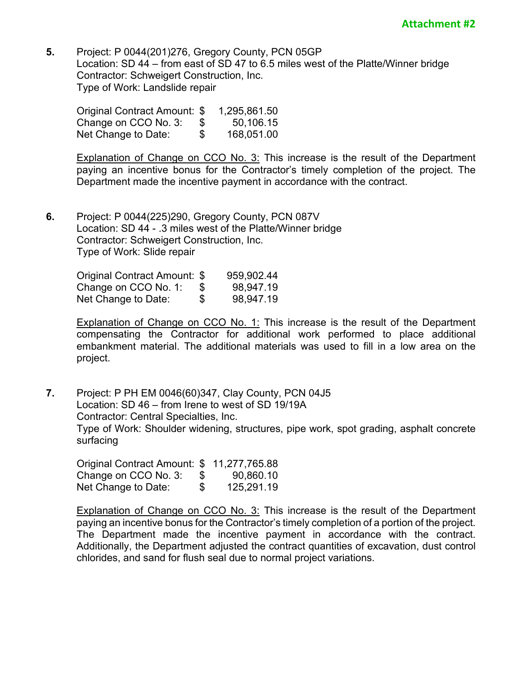**5.** Project: P 0044(201)276, Gregory County, PCN 05GP Location: SD 44 – from east of SD 47 to 6.5 miles west of the Platte/Winner bridge Contractor: Schweigert Construction, Inc. Type of Work: Landslide repair

| Original Contract Amount: \$ |     | 1,295,861.50 |
|------------------------------|-----|--------------|
| Change on CCO No. 3:         | -SS | 50,106.15    |
| Net Change to Date:          | \$  | 168,051.00   |

**Explanation of Change on CCO No. 3:** This increase is the result of the Department paying an incentive bonus for the Contractor's timely completion of the project. The Department made the incentive payment in accordance with the contract.

**6.** Project: P 0044(225)290, Gregory County, PCN 087V Location: SD 44 - .3 miles west of the Platte/Winner bridge Contractor: Schweigert Construction, Inc. Type of Work: Slide repair

| Original Contract Amount: \$ | 959,902.44      |
|------------------------------|-----------------|
| Change on CCO No. 1:         | \$<br>98,947.19 |
| Net Change to Date:          | \$<br>98,947.19 |

Explanation of Change on CCO No. 1: This increase is the result of the Department compensating the Contractor for additional work performed to place additional embankment material. The additional materials was used to fill in a low area on the project.

**7.** Project: P PH EM 0046(60)347, Clay County, PCN 04J5 Location: SD 46 – from Irene to west of SD 19/19A Contractor: Central Specialties, Inc. Type of Work: Shoulder widening, structures, pipe work, spot grading, asphalt concrete surfacing

| Original Contract Amount: \$ 11,277,765.88 |     |            |
|--------------------------------------------|-----|------------|
| Change on CCO No. 3:                       | -96 | 90,860.10  |
| Net Change to Date:                        | \$  | 125,291.19 |

Explanation of Change on CCO No. 3: This increase is the result of the Department paying an incentive bonus for the Contractor's timely completion of a portion of the project. The Department made the incentive payment in accordance with the contract. Additionally, the Department adjusted the contract quantities of excavation, dust control chlorides, and sand for flush seal due to normal project variations.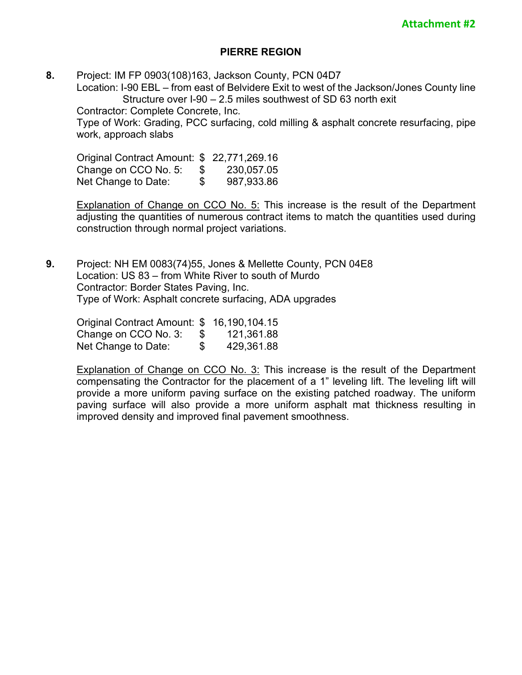# **PIERRE REGION**

**8.** Project: IM FP 0903(108)163, Jackson County, PCN 04D7 Location: I-90 EBL – from east of Belvidere Exit to west of the Jackson/Jones County line Structure over I-90 – 2.5 miles southwest of SD 63 north exit Contractor: Complete Concrete, Inc. Type of Work: Grading, PCC surfacing, cold milling & asphalt concrete resurfacing, pipe work, approach slabs

Original Contract Amount: \$ 22,771,269.16 Change on CCO No. 5: \$ 230,057.05 Net Change to Date:  $$987,933.86$ 

Explanation of Change on CCO No. 5: This increase is the result of the Department adjusting the quantities of numerous contract items to match the quantities used during construction through normal project variations.

**9.** Project: NH EM 0083(74)55, Jones & Mellette County, PCN 04E8 Location: US 83 – from White River to south of Murdo Contractor: Border States Paving, Inc. Type of Work: Asphalt concrete surfacing, ADA upgrades

Original Contract Amount: \$ 16,190,104.15 Change on CCO No. 3: \$ 121,361.88 Net Change to Date:  $$ 429,361.88$ 

Explanation of Change on CCO No. 3: This increase is the result of the Department compensating the Contractor for the placement of a 1" leveling lift. The leveling lift will provide a more uniform paving surface on the existing patched roadway. The uniform paving surface will also provide a more uniform asphalt mat thickness resulting in improved density and improved final pavement smoothness.